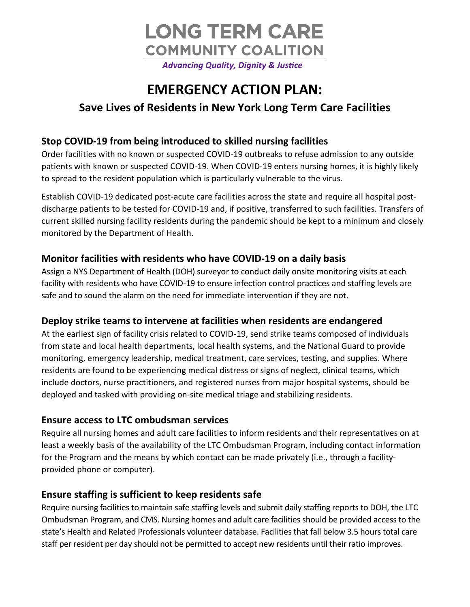

# **EMERGENCY ACTION PLAN:**

## **Save Lives of Residents in New York Long Term Care Facilities**

## **Stop COVID-19 from being introduced to skilled nursing facilities**

Order facilities with no known or suspected COVID-19 outbreaks to refuse admission to any outside patients with known or suspected COVID-19. When COVID-19 enters nursing homes, it is highly likely to spread to the resident population which is particularly vulnerable to the virus.

Establish COVID-19 dedicated post-acute care facilities across the state and require all hospital postdischarge patients to be tested for COVID-19 and, if positive, transferred to such facilities. Transfers of current skilled nursing facility residents during the pandemic should be kept to a minimum and closely monitored by the Department of Health.

## **Monitor facilities with residents who have COVID-19 on a daily basis**

Assign a NYS Department of Health (DOH) surveyor to conduct daily onsite monitoring visits at each facility with residents who have COVID-19 to ensure infection control practices and staffing levels are safe and to sound the alarm on the need for immediate intervention if they are not.

## **Deploy strike teams to intervene at facilities when residents are endangered**

At the earliest sign of facility crisis related to COVID-19, send strike teams composed of individuals from state and local health departments, local health systems, and the National Guard to provide monitoring, emergency leadership, medical treatment, care services, testing, and supplies. Where residents are found to be experiencing medical distress or signs of neglect, clinical teams, which include doctors, nurse practitioners, and registered nurses from major hospital systems, should be deployed and tasked with providing on-site medical triage and stabilizing residents.

## **Ensure access to LTC ombudsman services**

Require all nursing homes and adult care facilities to inform residents and their representatives on at least a weekly basis of the availability of the LTC Ombudsman Program, including contact information for the Program and the means by which contact can be made privately (i.e., through a facilityprovided phone or computer).

## **Ensure staffing is sufficient to keep residents safe**

Require nursing facilities to maintain safe staffing levels and submit daily staffing reports to DOH, the LTC Ombudsman Program, and CMS. Nursing homes and adult care facilities should be provided access to the state's Health and Related Professionals volunteer database. Facilities that fall below 3.5 hours total care staff per resident per day should not be permitted to accept new residents until their ratio improves.